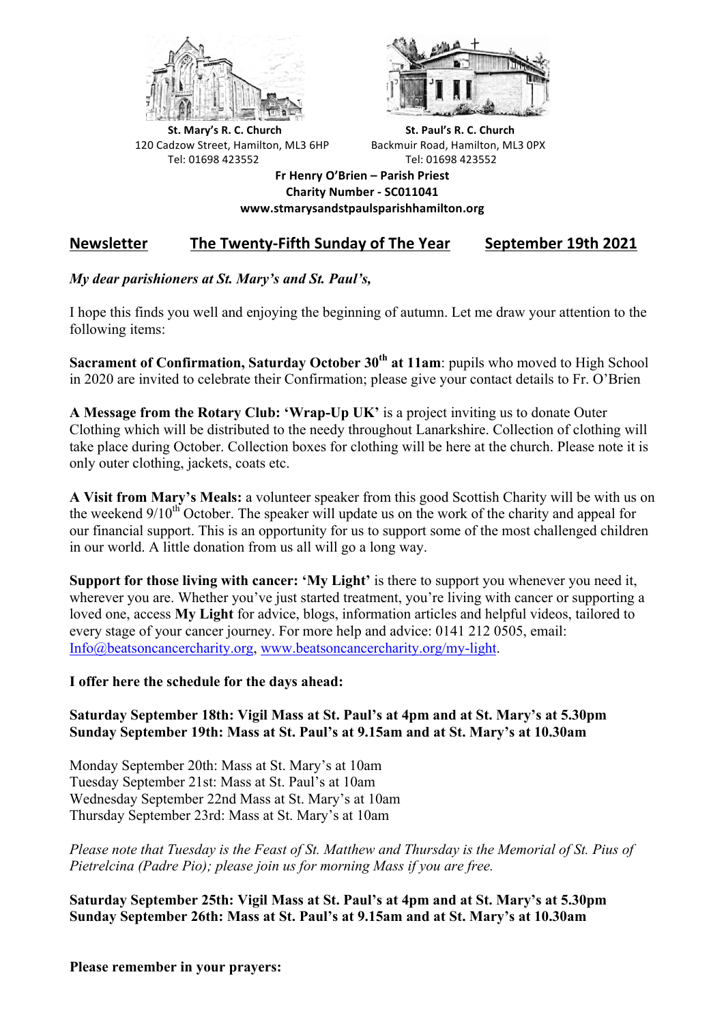



**St.** Mary's R. C. Church St. Paul's R. C. Church 120 Cadzow Street, Hamilton, ML3 6HP Backmuir Road, Hamilton, ML3 0PX Tel: 01698 423552 Tel: 01698 423552

**Fr Henry O'Brien – Parish Priest Charity Number - SC011041 www.stmarysandstpaulsparishhamilton.org**

## Newsletter The Twenty-Fifth Sunday of The Year September 19th 2021

## *My dear parishioners at St. Mary's and St. Paul's,*

I hope this finds you well and enjoying the beginning of autumn. Let me draw your attention to the following items:

**Sacrament of Confirmation, Saturday October 30th at 11am**: pupils who moved to High School in 2020 are invited to celebrate their Confirmation; please give your contact details to Fr. O'Brien

**A Message from the Rotary Club: 'Wrap-Up UK'** is a project inviting us to donate Outer Clothing which will be distributed to the needy throughout Lanarkshire. Collection of clothing will take place during October. Collection boxes for clothing will be here at the church. Please note it is only outer clothing, jackets, coats etc.

**A Visit from Mary's Meals:** a volunteer speaker from this good Scottish Charity will be with us on the weekend  $9/10<sup>th</sup>$  October. The speaker will update us on the work of the charity and appeal for our financial support. This is an opportunity for us to support some of the most challenged children in our world. A little donation from us all will go a long way.

**Support for those living with cancer: 'My Light'** is there to support you whenever you need it, wherever you are. Whether you've just started treatment, you're living with cancer or supporting a loved one, access **My Light** for advice, blogs, information articles and helpful videos, tailored to every stage of your cancer journey. For more help and advice: 0141 212 0505, email: Info@beatsoncancercharity.org, www.beatsoncancercharity.org/my-light.

## **I offer here the schedule for the days ahead:**

## **Saturday September 18th: Vigil Mass at St. Paul's at 4pm and at St. Mary's at 5.30pm Sunday September 19th: Mass at St. Paul's at 9.15am and at St. Mary's at 10.30am**

Monday September 20th: Mass at St. Mary's at 10am Tuesday September 21st: Mass at St. Paul's at 10am Wednesday September 22nd Mass at St. Mary's at 10am Thursday September 23rd: Mass at St. Mary's at 10am

*Please note that Tuesday is the Feast of St. Matthew and Thursday is the Memorial of St. Pius of Pietrelcina (Padre Pio); please join us for morning Mass if you are free.*

**Saturday September 25th: Vigil Mass at St. Paul's at 4pm and at St. Mary's at 5.30pm Sunday September 26th: Mass at St. Paul's at 9.15am and at St. Mary's at 10.30am**

**Please remember in your prayers:**